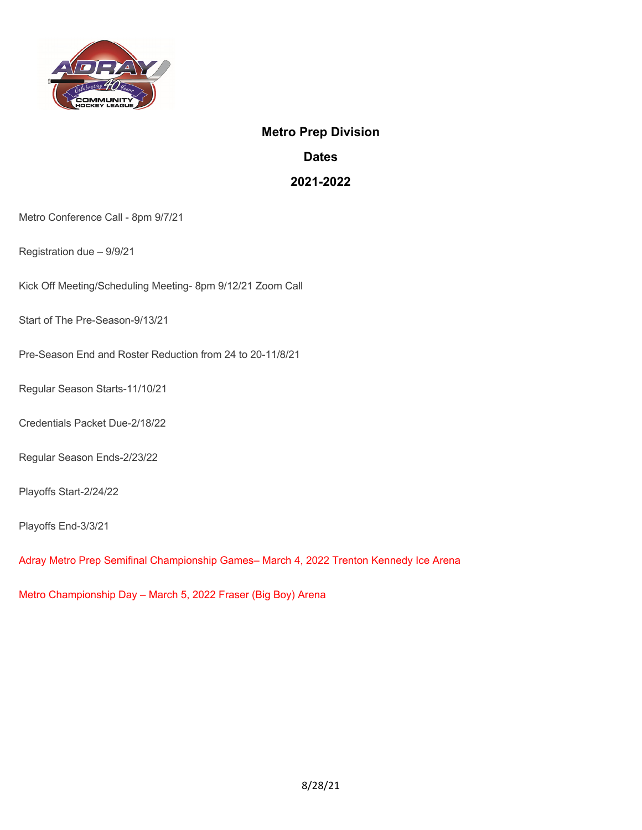

## **Metro Prep Division**

**Dates** 

**2021-2022** 

Metro Conference Call - 8pm 9/7/21

Registration due – 9/9/21

Kick Off Meeting/Scheduling Meeting- 8pm 9/12/21 Zoom Call

Start of The Pre-Season-9/13/21

Pre-Season End and Roster Reduction from 24 to 20-11/8/21

Regular Season Starts-11/10/21

Credentials Packet Due-2/18/22

Regular Season Ends-2/23/22

Playoffs Start-2/24/22

Playoffs End-3/3/21

Adray Metro Prep Semifinal Championship Games– March 4, 2022 Trenton Kennedy Ice Arena

Metro Championship Day – March 5, 2022 Fraser (Big Boy) Arena